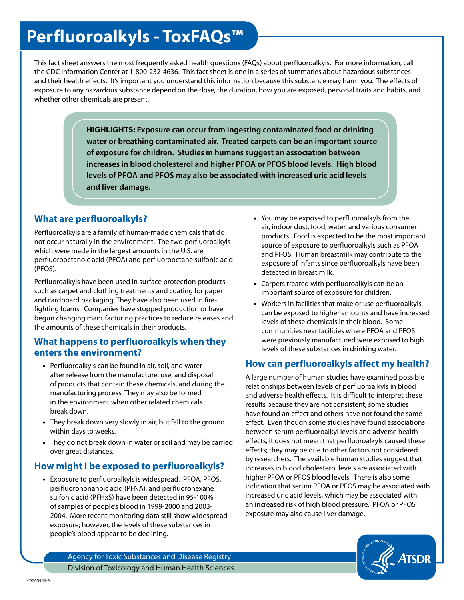# **Perfluoroalkyls - ToxFAQs™**

This fact sheet answers the most frequently asked health questions (FAQs) about perfluoroalkyls. For more information, call the CDC Information Center at 1-800-232-4636. This fact sheet is one in a series of summaries about hazardous substances and their health effects. It's important you understand this information because this substance may harm you. The effects of exposure to any hazardous substance depend on the dose, the duration, how you are exposed, personal traits and habits, and whether other chemicals are present.

> **HIGHLIGHTS: Exposure can occur from ingesting contaminated food or drinking water or breathing contaminated air. Treated carpets can be an important source of exposure for children. Studies in humans suggest an association between increases in blood cholesterol and higher PFOA or PFOS blood levels. High blood levels of PFOA and PFOS may also be associated with increased uric acid levels and liver damage.**

## **What are perfluoroalkyls?**

Perfluoroalkyls are a family of human-made chemicals that do not occur naturally in the environment. The two perfluoroalkyls which were made in the largest amounts in the U.S. are perfluorooctanoic acid (PFOA) and perfluorooctane sulfonic acid (PFOS).

Perfluoroalkyls have been used in surface protection products such as carpet and clothing treatments and coating for paper and cardboard packaging. They have also been used in firefighting foams. Companies have stopped production or have begun changing manufacturing practices to reduce releases and the amounts of these chemicals in their products.

#### **What happens to perfluoroalkyls when they enters the environment?**

- Perfluoroalkyls can be found in air, soil, and water after release from the manufacture, use, and disposal of products that contain these chemicals, and during the manufacturing process. They may also be formed in the environment when other related chemicals break down.
- They break down very slowly in air, but fall to the ground within days to weeks.
- They do not break down in water or soil and may be carried over great distances.

## **How might I be exposed to perfluoroalkyls?**

• Exposure to perfluoroalkyls is widespread. PFOA, PFOS, perfluorononanoic acid (PFNA), and perfluorohexane sulfonic acid (PFHxS) have been detected in 95-100% of samples of people's blood in 1999-2000 and 2003- 2004. More recent monitoring data still show widespread exposure; however, the levels of these substances in people's blood appear to be declining.

- You may be exposed to perfluoroalkyls from the air, indoor dust, food, water, and various consumer products. Food is expected to be the most important source of exposure to perfluoroalkyls such as PFOA and PFOS. Human breastmilk may contribute to the exposure of infants since perfluoroalkyls have been detected in breast milk.
- Carpets treated with perfluoroalkyls can be an important source of exposure for children.
- Workers in facilities that make or use perfluoroalkyls can be exposed to higher amounts and have increased levels of these chemicals in their blood. Some communities near facilities where PFOA and PFOS were previously manufactured were exposed to high levels of these substances in drinking water.

## **How can perfluoroalkyls affect my health?**

A large number of human studies have examined possible relationships between levels of perfluoroalkyls in blood and adverse health effects. It is difficult to interpret these results because they are not consistent; some studies have found an effect and others have not found the same effect. Even though some studies have found associations between serum perfluoroalkyl levels and adverse health effects, it does not mean that perfluoroalkyls caused these effects; they may be due to other factors not considered by researchers. The available human studies suggest that increases in blood cholesterol levels are associated with higher PFOA or PFOS blood levels. There is also some indication that serum PFOA or PFOS may be associated with increased uric acid levels, which may be associated with an increased risk of high blood pressure. PFOA or PFOS exposure may also cause liver damage.



Agency for Toxic Substances and Disease Registry Division of Toxicology and Human Health Sciences